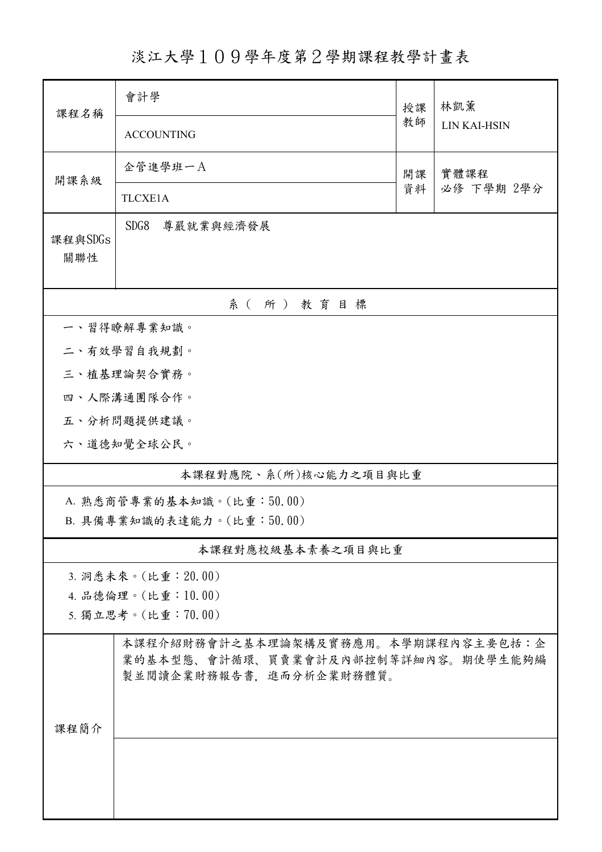淡江大學109學年度第2學期課程教學計畫表

| 課程名稱                      | 會計學<br>授課                                                                                             |    | 林凱薰                |  |  |  |  |
|---------------------------|-------------------------------------------------------------------------------------------------------|----|--------------------|--|--|--|--|
|                           | <b>ACCOUNTING</b>                                                                                     | 教師 | LIN KAI-HSIN       |  |  |  |  |
| 開課系級                      | 企管進學班一A                                                                                               | 開課 | 實體課程<br>必修 下學期 2學分 |  |  |  |  |
|                           | TLCXE1A                                                                                               | 資料 |                    |  |  |  |  |
| 課程與SDGs<br>關聯性            | SDG8<br>尊嚴就業與經濟發展                                                                                     |    |                    |  |  |  |  |
|                           | 系(所)教育目標                                                                                              |    |                    |  |  |  |  |
|                           | 一、習得瞭解專業知識。                                                                                           |    |                    |  |  |  |  |
|                           | 二、有效學習自我規劃。                                                                                           |    |                    |  |  |  |  |
|                           | 三、植基理論契合實務。                                                                                           |    |                    |  |  |  |  |
|                           | 四、人際溝通團隊合作。                                                                                           |    |                    |  |  |  |  |
|                           | 五、分析問題提供建議。                                                                                           |    |                    |  |  |  |  |
|                           | 六、道德知覺全球公民。                                                                                           |    |                    |  |  |  |  |
| 本課程對應院、系(所)核心能力之項目與比重     |                                                                                                       |    |                    |  |  |  |  |
| A. 熟悉商管專業的基本知識。(比重:50.00) |                                                                                                       |    |                    |  |  |  |  |
| B. 具備專業知識的表達能力。(比重:50.00) |                                                                                                       |    |                    |  |  |  |  |
| 本課程對應校級基本素養之項目與比重         |                                                                                                       |    |                    |  |  |  |  |
| 3. 洞悉未來。(比重: 20.00)       |                                                                                                       |    |                    |  |  |  |  |
| 4. 品德倫理。(比重:10.00)        |                                                                                                       |    |                    |  |  |  |  |
|                           | 5. 獨立思考。(比重:70.00)                                                                                    |    |                    |  |  |  |  |
|                           | 本課程介紹財務會計之基本理論架構及實務應用。本學期課程內容主要包括:企<br>業的基本型態、會計循環、買賣業會計及內部控制等詳細內容。期使學生能夠編<br>製並閱讀企業財務報告書,進而分析企業財務體質。 |    |                    |  |  |  |  |
| 課程簡介                      |                                                                                                       |    |                    |  |  |  |  |
|                           |                                                                                                       |    |                    |  |  |  |  |
|                           |                                                                                                       |    |                    |  |  |  |  |
|                           |                                                                                                       |    |                    |  |  |  |  |
|                           |                                                                                                       |    |                    |  |  |  |  |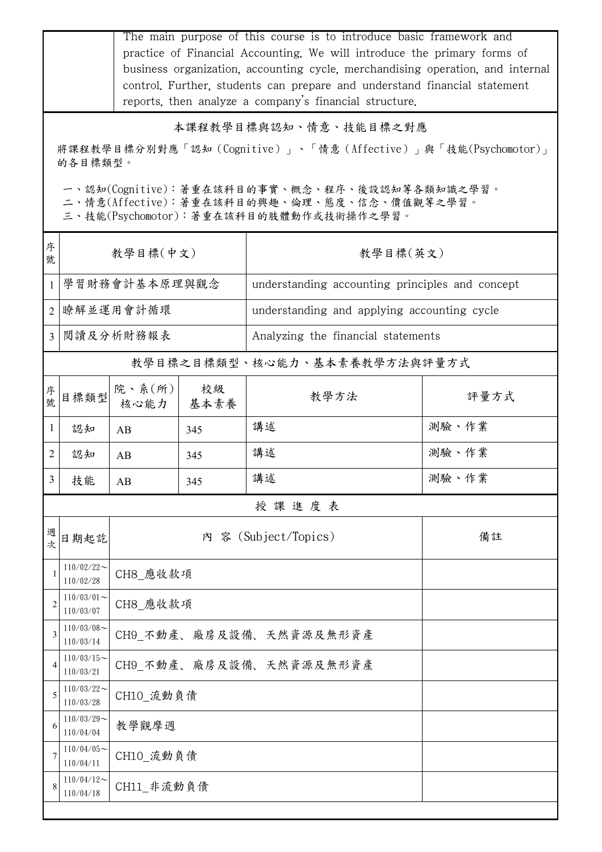|                                                                         | The main purpose of this course is to introduce basic framework and<br>practice of Financial Accounting. We will introduce the primary forms of<br>business organization, accounting cycle, merchandising operation, and internal<br>control. Further, students can prepare and understand financial statement<br>reports, then analyze a company's financial structure. |                         |            |                                                 |       |  |  |  |  |
|-------------------------------------------------------------------------|--------------------------------------------------------------------------------------------------------------------------------------------------------------------------------------------------------------------------------------------------------------------------------------------------------------------------------------------------------------------------|-------------------------|------------|-------------------------------------------------|-------|--|--|--|--|
|                                                                         | 本課程教學目標與認知、情意、技能目標之對應                                                                                                                                                                                                                                                                                                                                                    |                         |            |                                                 |       |  |  |  |  |
| 將課程教學目標分別對應「認知(Cognitive)」、「情意(Affective)」與「技能(Psychomotor)」<br>的各目標類型。 |                                                                                                                                                                                                                                                                                                                                                                          |                         |            |                                                 |       |  |  |  |  |
|                                                                         | 一、認知(Cognitive):著重在該科目的事實、概念、程序、後設認知等各類知識之學習。<br>二、情意(Affective):著重在該科目的興趣、倫理、態度、信念、價值觀等之學習。<br>三、技能(Psychomotor):著重在該科目的肢體動作或技術操作之學習。                                                                                                                                                                                                                                   |                         |            |                                                 |       |  |  |  |  |
| 序<br>號                                                                  |                                                                                                                                                                                                                                                                                                                                                                          | 教學目標(中文)                |            | 教學目標(英文)                                        |       |  |  |  |  |
| $\mathbf{1}$                                                            |                                                                                                                                                                                                                                                                                                                                                                          | 學習財務會計基本原理與觀念           |            | understanding accounting principles and concept |       |  |  |  |  |
| 2                                                                       | 瞭解並運用會計循環                                                                                                                                                                                                                                                                                                                                                                |                         |            | understanding and applying accounting cycle     |       |  |  |  |  |
| 3                                                                       | 閱讀及分析財務報表                                                                                                                                                                                                                                                                                                                                                                |                         |            | Analyzing the financial statements              |       |  |  |  |  |
|                                                                         |                                                                                                                                                                                                                                                                                                                                                                          |                         |            | 教學目標之目標類型、核心能力、基本素養教學方法與評量方式                    |       |  |  |  |  |
| 序號                                                                      | 目標類型                                                                                                                                                                                                                                                                                                                                                                     | 院、系(所)<br>核心能力          | 校級<br>基本素養 | 教學方法                                            | 評量方式  |  |  |  |  |
| 1                                                                       | 認知                                                                                                                                                                                                                                                                                                                                                                       | AB                      | 345        | 講述                                              | 測驗、作業 |  |  |  |  |
| 2                                                                       | 認知                                                                                                                                                                                                                                                                                                                                                                       | AB                      | 345        | 講述                                              | 測驗、作業 |  |  |  |  |
| 3                                                                       | 技能                                                                                                                                                                                                                                                                                                                                                                       | AB                      | 345        | 講述                                              | 測驗、作業 |  |  |  |  |
|                                                                         |                                                                                                                                                                                                                                                                                                                                                                          |                         |            | 授課進度表                                           |       |  |  |  |  |
| 週<br>次                                                                  | 日期起訖                                                                                                                                                                                                                                                                                                                                                                     |                         |            | 內 容 (Subject/Topics)                            | 備註    |  |  |  |  |
|                                                                         | $110/02/22$ ~<br>110/02/28                                                                                                                                                                                                                                                                                                                                               | CH8 應收款項                |            |                                                 |       |  |  |  |  |
| 2                                                                       | $110/03/01$ ~<br>110/03/07                                                                                                                                                                                                                                                                                                                                               | CH8 應收款項                |            |                                                 |       |  |  |  |  |
| 3                                                                       | $110/03/08$ ~<br>110/03/14                                                                                                                                                                                                                                                                                                                                               |                         |            | CH9 不動產、廠房及設備、天然資源及無形資產                         |       |  |  |  |  |
| 4                                                                       | $110/03/15$ ~<br>110/03/21                                                                                                                                                                                                                                                                                                                                               | CH9_不動產、廠房及設備、天然資源及無形資產 |            |                                                 |       |  |  |  |  |
| 5                                                                       | $110/03/22$ ~<br>110/03/28                                                                                                                                                                                                                                                                                                                                               | CH10 流動負債               |            |                                                 |       |  |  |  |  |
| 6                                                                       | $110/03/29$ ~<br>110/04/04                                                                                                                                                                                                                                                                                                                                               | 教學觀摩週                   |            |                                                 |       |  |  |  |  |
| 7                                                                       | $110/04/05$ ~<br>110/04/11                                                                                                                                                                                                                                                                                                                                               | CH10 流動負債               |            |                                                 |       |  |  |  |  |
|                                                                         | $110/04/12$ ~<br>110/04/18                                                                                                                                                                                                                                                                                                                                               | CH11 非流動負債              |            |                                                 |       |  |  |  |  |